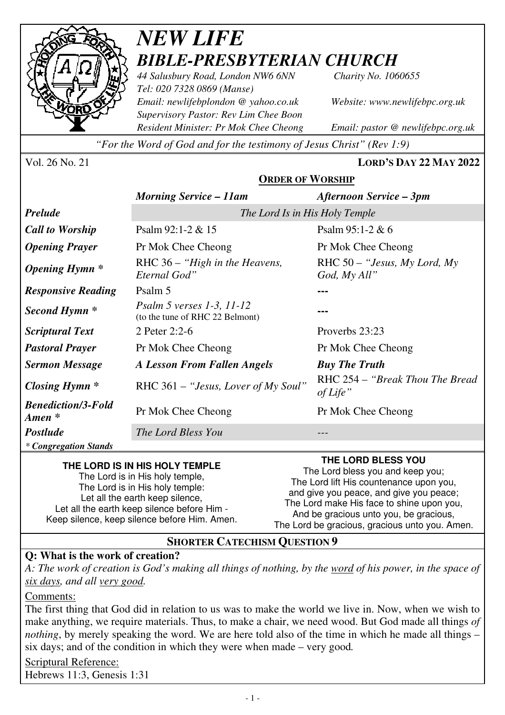

# *NEW LIFE BIBLE-PRESBYTERIAN CHURCH*

*44 Salusbury Road, London NW6 6NN Charity No. 1060655 Tel: 020 7328 0869 (Manse) Email: newlifebplondon @ yahoo.co.uk Website: www.newlifebpc.org.uk Supervisory Pastor: Rev Lim Chee Boon Resident Minister: Pr Mok Chee Cheong Email: pastor @ newlifebpc.org.uk* 

*"For the Word of God and for the testimony of Jesus Christ" (Rev 1:9)*

Vol. 26 No. 21 **LORD'S DAY 22 MAY 2022**

### **ORDER OF WORSHIP**

|                                                 | <b>Morning Service - 11am</b>                                       | Afternoon Service – 3pm                        |
|-------------------------------------------------|---------------------------------------------------------------------|------------------------------------------------|
| <b>Prelude</b>                                  | The Lord Is in His Holy Temple                                      |                                                |
| <b>Call to Worship</b>                          | Psalm $92:1-2 & 15$                                                 | Psalm $95:1-2 & 6$                             |
| <b>Opening Prayer</b>                           | Pr Mok Chee Cheong                                                  | Pr Mok Chee Cheong                             |
| <b>Opening Hymn</b> *                           | RHC $36 -$ "High in the Heavens,<br>Eternal God"                    | RHC $50 -$ "Jesus, My Lord, My<br>God, My All" |
| <b>Responsive Reading</b>                       | Psalm 5                                                             |                                                |
| Second Hymn *                                   | <i>Psalm 5 verses 1-3, 11-12</i><br>(to the tune of RHC 22 Belmont) |                                                |
| <b>Scriptural Text</b>                          | 2 Peter 2:2-6                                                       | Proverbs 23:23                                 |
| <b>Pastoral Prayer</b>                          | Pr Mok Chee Cheong                                                  | Pr Mok Chee Cheong                             |
| <b>Sermon Message</b>                           | <b>A Lesson From Fallen Angels</b>                                  | <b>Buy The Truth</b>                           |
| <b>Closing Hymn</b> *                           | RHC 361 – "Jesus, Lover of My Soul"                                 | RHC 254 – "Break Thou The Bread"<br>of Life"   |
| <b>Benediction/3-Fold</b><br>$A$ <i>men</i> $*$ | Pr Mok Chee Cheong                                                  | Pr Mok Chee Cheong                             |
| <b>Postlude</b>                                 | The Lord Bless You                                                  |                                                |
| * Congregation Stands                           |                                                                     |                                                |

#### **THE LORD IS IN HIS HOLY TEMPLE**

The Lord is in His holy temple, The Lord is in His holy temple: Let all the earth keep silence. Let all the earth keep silence before Him - Keep silence, keep silence before Him. Amen.

#### **THE LORD BLESS YOU**

The Lord bless you and keep you; The Lord lift His countenance upon you, and give you peace, and give you peace; The Lord make His face to shine upon you, And be gracious unto you, be gracious, The Lord be gracious, gracious unto you. Amen.

#### **SHORTER CATECHISM QUESTION 9**

#### **Q: What is the work of creation?**

*A: The work of creation is God's making all things of nothing, by the word of his power, in the space of six days, and all very good.* 

Comments:

The first thing that God did in relation to us was to make the world we live in. Now, when we wish to make anything, we require materials. Thus, to make a chair, we need wood. But God made all things *of nothing*, by merely speaking the word. We are here told also of the time in which he made all things – six days; and of the condition in which they were when made – very good*.*

Scriptural Reference: Hebrews 11:3, Genesis 1:31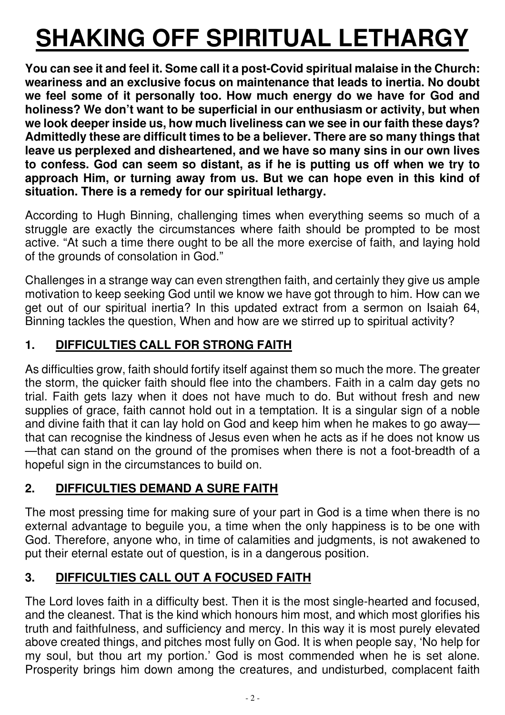# **SHAKING OFF SPIRITUAL LETHARGY**

**You can see it and feel it. Some call it a post-Covid spiritual malaise in the Church: weariness and an exclusive focus on maintenance that leads to inertia. No doubt we feel some of it personally too. How much energy do we have for God and holiness? We don't want to be superficial in our enthusiasm or activity, but when we look deeper inside us, how much liveliness can we see in our faith these days? Admittedly these are difficult times to be a believer. There are so many things that leave us perplexed and disheartened, and we have so many sins in our own lives to confess. God can seem so distant, as if he is putting us off when we try to approach Him, or turning away from us. But we can hope even in this kind of situation. There is a remedy for our spiritual lethargy.** 

According to Hugh Binning, challenging times when everything seems so much of a struggle are exactly the circumstances where faith should be prompted to be most active. "At such a time there ought to be all the more exercise of faith, and laying hold of the grounds of consolation in God."

Challenges in a strange way can even strengthen faith, and certainly they give us ample motivation to keep seeking God until we know we have got through to him. How can we get out of our spiritual inertia? In this updated extract from a sermon on Isaiah 64, Binning tackles the question, When and how are we stirred up to spiritual activity?

# **1. DIFFICULTIES CALL FOR STRONG FAITH**

As difficulties grow, faith should fortify itself against them so much the more. The greater the storm, the quicker faith should flee into the chambers. Faith in a calm day gets no trial. Faith gets lazy when it does not have much to do. But without fresh and new supplies of grace, faith cannot hold out in a temptation. It is a singular sign of a noble and divine faith that it can lay hold on God and keep him when he makes to go away that can recognise the kindness of Jesus even when he acts as if he does not know us —that can stand on the ground of the promises when there is not a foot-breadth of a hopeful sign in the circumstances to build on.

# **2. DIFFICULTIES DEMAND A SURE FAITH**

The most pressing time for making sure of your part in God is a time when there is no external advantage to beguile you, a time when the only happiness is to be one with God. Therefore, anyone who, in time of calamities and judgments, is not awakened to put their eternal estate out of question, is in a dangerous position.

# **3. DIFFICULTIES CALL OUT A FOCUSED FAITH**

The Lord loves faith in a difficulty best. Then it is the most single-hearted and focused, and the cleanest. That is the kind which honours him most, and which most glorifies his truth and faithfulness, and sufficiency and mercy. In this way it is most purely elevated above created things, and pitches most fully on God. It is when people say, 'No help for my soul, but thou art my portion.' God is most commended when he is set alone. Prosperity brings him down among the creatures, and undisturbed, complacent faith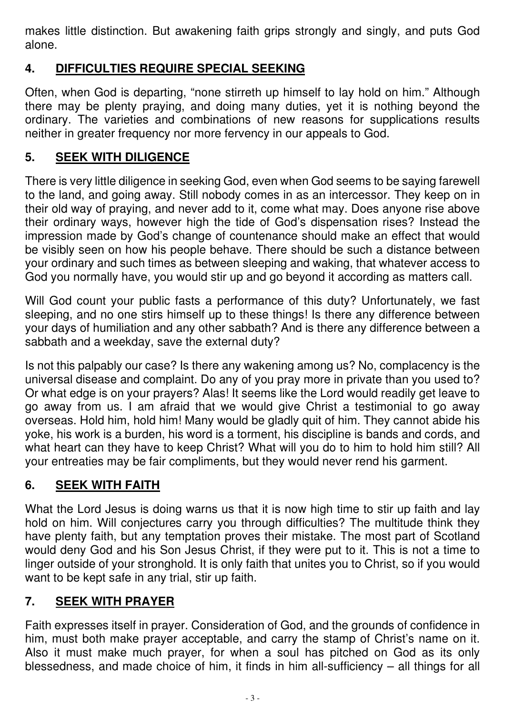makes little distinction. But awakening faith grips strongly and singly, and puts God alone.

# **4. DIFFICULTIES REQUIRE SPECIAL SEEKING**

Often, when God is departing, "none stirreth up himself to lay hold on him." Although there may be plenty praying, and doing many duties, yet it is nothing beyond the ordinary. The varieties and combinations of new reasons for supplications results neither in greater frequency nor more fervency in our appeals to God.

# **5. SEEK WITH DILIGENCE**

There is very little diligence in seeking God, even when God seems to be saying farewell to the land, and going away. Still nobody comes in as an intercessor. They keep on in their old way of praying, and never add to it, come what may. Does anyone rise above their ordinary ways, however high the tide of God's dispensation rises? Instead the impression made by God's change of countenance should make an effect that would be visibly seen on how his people behave. There should be such a distance between your ordinary and such times as between sleeping and waking, that whatever access to God you normally have, you would stir up and go beyond it according as matters call.

Will God count your public fasts a performance of this duty? Unfortunately, we fast sleeping, and no one stirs himself up to these things! Is there any difference between your days of humiliation and any other sabbath? And is there any difference between a sabbath and a weekday, save the external duty?

Is not this palpably our case? Is there any wakening among us? No, complacency is the universal disease and complaint. Do any of you pray more in private than you used to? Or what edge is on your prayers? Alas! It seems like the Lord would readily get leave to go away from us. I am afraid that we would give Christ a testimonial to go away overseas. Hold him, hold him! Many would be gladly quit of him. They cannot abide his yoke, his work is a burden, his word is a torment, his discipline is bands and cords, and what heart can they have to keep Christ? What will you do to him to hold him still? All your entreaties may be fair compliments, but they would never rend his garment.

# **6. SEEK WITH FAITH**

What the Lord Jesus is doing warns us that it is now high time to stir up faith and lay hold on him. Will conjectures carry you through difficulties? The multitude think they have plenty faith, but any temptation proves their mistake. The most part of Scotland would deny God and his Son Jesus Christ, if they were put to it. This is not a time to linger outside of your stronghold. It is only faith that unites you to Christ, so if you would want to be kept safe in any trial, stir up faith.

# **7. SEEK WITH PRAYER**

Faith expresses itself in prayer. Consideration of God, and the grounds of confidence in him, must both make prayer acceptable, and carry the stamp of Christ's name on it. Also it must make much prayer, for when a soul has pitched on God as its only blessedness, and made choice of him, it finds in him all-sufficiency – all things for all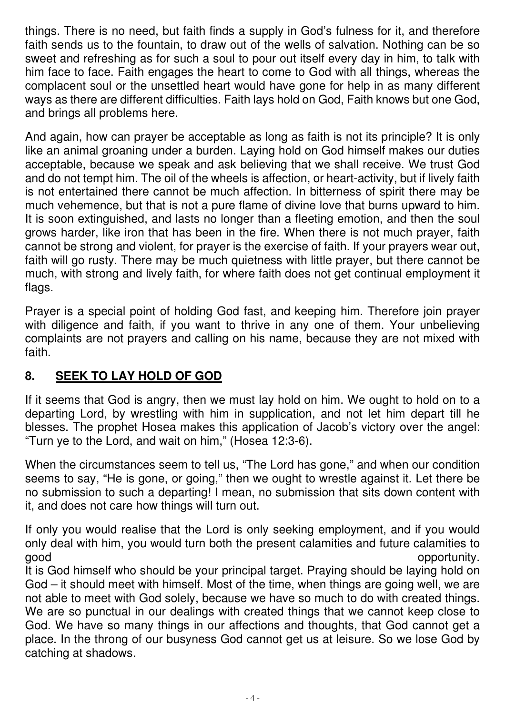things. There is no need, but faith finds a supply in God's fulness for it, and therefore faith sends us to the fountain, to draw out of the wells of salvation. Nothing can be so sweet and refreshing as for such a soul to pour out itself every day in him, to talk with him face to face. Faith engages the heart to come to God with all things, whereas the complacent soul or the unsettled heart would have gone for help in as many different ways as there are different difficulties. Faith lays hold on God, Faith knows but one God, and brings all problems here.

And again, how can prayer be acceptable as long as faith is not its principle? It is only like an animal groaning under a burden. Laying hold on God himself makes our duties acceptable, because we speak and ask believing that we shall receive. We trust God and do not tempt him. The oil of the wheels is affection, or heart-activity, but if lively faith is not entertained there cannot be much affection. In bitterness of spirit there may be much vehemence, but that is not a pure flame of divine love that burns upward to him. It is soon extinguished, and lasts no longer than a fleeting emotion, and then the soul grows harder, like iron that has been in the fire. When there is not much prayer, faith cannot be strong and violent, for prayer is the exercise of faith. If your prayers wear out, faith will go rusty. There may be much quietness with little prayer, but there cannot be much, with strong and lively faith, for where faith does not get continual employment it flags.

Prayer is a special point of holding God fast, and keeping him. Therefore join prayer with diligence and faith, if you want to thrive in any one of them. Your unbelieving complaints are not prayers and calling on his name, because they are not mixed with faith.

# **8. SEEK TO LAY HOLD OF GOD**

If it seems that God is angry, then we must lay hold on him. We ought to hold on to a departing Lord, by wrestling with him in supplication, and not let him depart till he blesses. The prophet Hosea makes this application of Jacob's victory over the angel: "Turn ye to the Lord, and wait on him," (Hosea 12:3-6).

When the circumstances seem to tell us, "The Lord has gone," and when our condition seems to say, "He is gone, or going," then we ought to wrestle against it. Let there be no submission to such a departing! I mean, no submission that sits down content with it, and does not care how things will turn out.

If only you would realise that the Lord is only seeking employment, and if you would only deal with him, you would turn both the present calamities and future calamities to good opportunity.

It is God himself who should be your principal target. Praying should be laying hold on God – it should meet with himself. Most of the time, when things are going well, we are not able to meet with God solely, because we have so much to do with created things. We are so punctual in our dealings with created things that we cannot keep close to God. We have so many things in our affections and thoughts, that God cannot get a place. In the throng of our busyness God cannot get us at leisure. So we lose God by catching at shadows.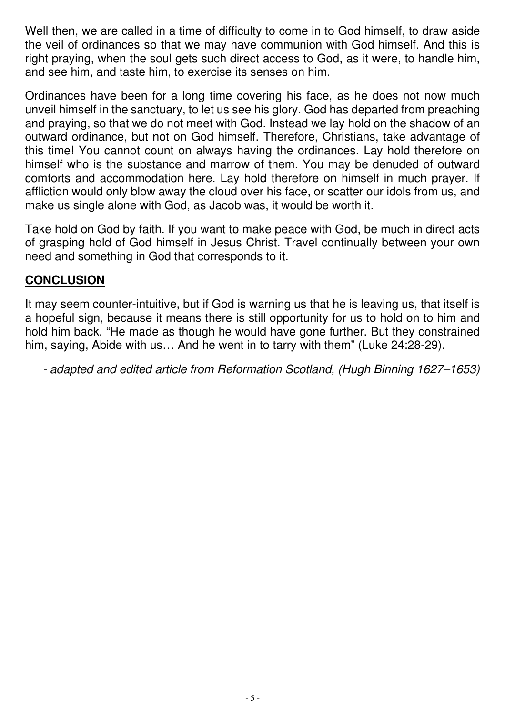Well then, we are called in a time of difficulty to come in to God himself, to draw aside the veil of ordinances so that we may have communion with God himself. And this is right praying, when the soul gets such direct access to God, as it were, to handle him, and see him, and taste him, to exercise its senses on him.

Ordinances have been for a long time covering his face, as he does not now much unveil himself in the sanctuary, to let us see his glory. God has departed from preaching and praying, so that we do not meet with God. Instead we lay hold on the shadow of an outward ordinance, but not on God himself. Therefore, Christians, take advantage of this time! You cannot count on always having the ordinances. Lay hold therefore on himself who is the substance and marrow of them. You may be denuded of outward comforts and accommodation here. Lay hold therefore on himself in much prayer. If affliction would only blow away the cloud over his face, or scatter our idols from us, and make us single alone with God, as Jacob was, it would be worth it.

Take hold on God by faith. If you want to make peace with God, be much in direct acts of grasping hold of God himself in Jesus Christ. Travel continually between your own need and something in God that corresponds to it.

### **CONCLUSION**

It may seem counter-intuitive, but if God is warning us that he is leaving us, that itself is a hopeful sign, because it means there is still opportunity for us to hold on to him and hold him back. "He made as though he would have gone further. But they constrained him, saying, Abide with us… And he went in to tarry with them" (Luke 24:28-29).

- adapted and edited article from Reformation Scotland, (Hugh Binning 1627–1653)